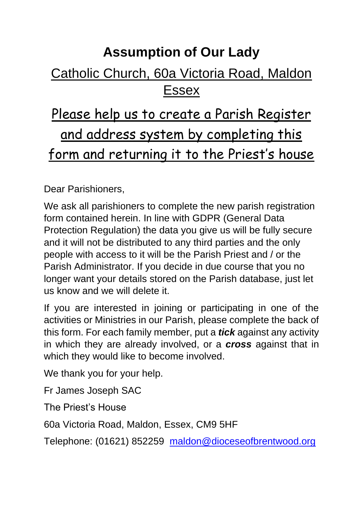## **Assumption of Our Lady**

### Catholic Church, 60a Victoria Road, Maldon Essex

# Please help us to create a Parish Register and address system by completing this form and returning it to the Priest's house

Dear Parishioners,

We ask all parishioners to complete the new parish registration form contained herein. In line with GDPR (General Data Protection Regulation) the data you give us will be fully secure and it will not be distributed to any third parties and the only people with access to it will be the Parish Priest and / or the Parish Administrator. If you decide in due course that you no longer want your details stored on the Parish database, just let us know and we will delete it.

If you are interested in joining or participating in one of the activities or Ministries in our Parish, please complete the back of this form. For each family member, put a *tick* against any activity in which they are already involved, or a *cross* against that in which they would like to become involved.

We thank you for your help.

Fr James Joseph SAC

The Priest's House

60a Victoria Road, Maldon, Essex, CM9 5HF

Telephone: (01621) 852259 [maldon@dioceseofbrentwood.org](mailto:maldon@dioceseofbrentwood.org)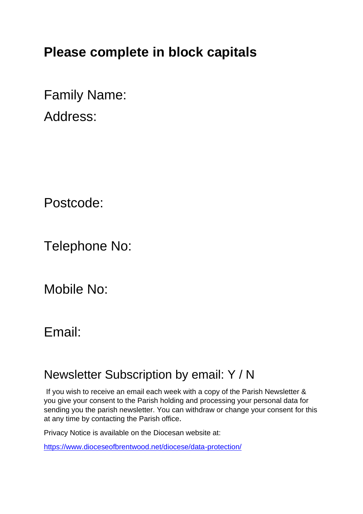## **Please complete in block capitals**

Family Name:

Address:

Postcode:

Telephone No:

Mobile No:

#### Email:

#### Newsletter Subscription by email: Y / N

If you wish to receive an email each week with a copy of the Parish Newsletter & you give your consent to the Parish holding and processing your personal data for sending you the parish newsletter. You can withdraw or change your consent for this at any time by contacting the Parish office.

Privacy Notice is available on the Diocesan website at:

<https://www.dioceseofbrentwood.net/diocese/data-protection/>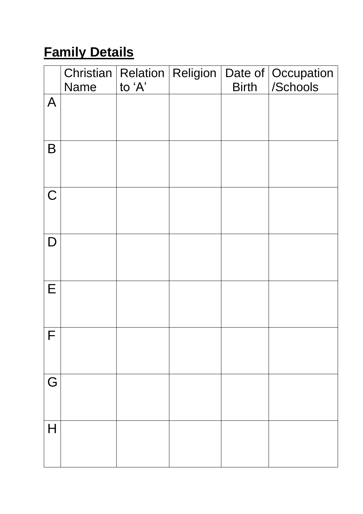# **Family Details**

|                | Christian   Relation   Religion  <br>Name | to 'A' | <b>Birth</b> | Date of   Occupation<br>/Schools |
|----------------|-------------------------------------------|--------|--------------|----------------------------------|
| $\overline{A}$ |                                           |        |              |                                  |
| B              |                                           |        |              |                                  |
| $\mathsf C$    |                                           |        |              |                                  |
| D              |                                           |        |              |                                  |
| E              |                                           |        |              |                                  |
| F              |                                           |        |              |                                  |
| G              |                                           |        |              |                                  |
| $\mathsf{H}$   |                                           |        |              |                                  |